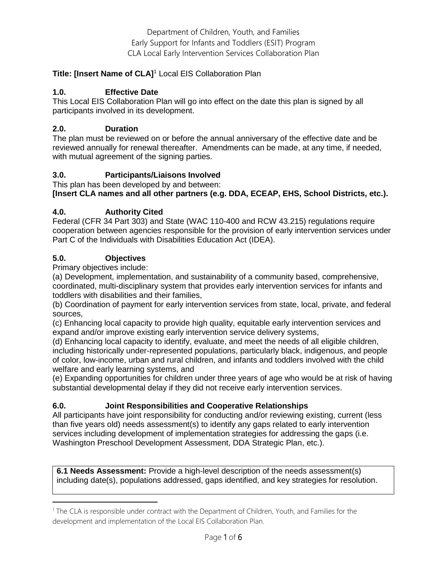## **Title: [Insert Name of CLA]** <sup>1</sup> Local EIS Collaboration Plan

## **1.0. Effective Date**

This Local EIS Collaboration Plan will go into effect on the date this plan is signed by all participants involved in its development.

### **2.0. Duration**

The plan must be reviewed on or before the annual anniversary of the effective date and be reviewed annually for renewal thereafter. Amendments can be made, at any time, if needed, with mutual agreement of the signing parties.

### **3.0. Participants/Liaisons Involved**

This plan has been developed by and between: **[Insert CLA names and all other partners (e.g. DDA, ECEAP, EHS, School Districts, etc.).** 

### **4.0. Authority Cited**

Federal (CFR 34 Part 303) and State (WAC 110-400 and RCW 43.215) regulations require cooperation between agencies responsible for the provision of early intervention services under Part C of the Individuals with Disabilities Education Act (IDEA).

## **5.0. Objectives**

Primary objectives include:

 $\overline{\phantom{a}}$ 

(a) Development, implementation, and sustainability of a community based, comprehensive, coordinated, multi-disciplinary system that provides early intervention services for infants and toddlers with disabilities and their families,

(b) Coordination of payment for early intervention services from state, local, private, and federal sources,

(c) Enhancing local capacity to provide high quality, equitable early intervention services and expand and/or improve existing early intervention service delivery systems,

(d) Enhancing local capacity to identify, evaluate, and meet the needs of all eligible children, including historically under-represented populations, particularly black, indigenous, and people of color, low-income, urban and rural children, and infants and toddlers involved with the child welfare and early learning systems, and

(e) Expanding opportunities for children under three years of age who would be at risk of having substantial developmental delay if they did not receive early intervention services.

## **6.0. Joint Responsibilities and Cooperative Relationships**

All participants have joint responsibility for conducting and/or reviewing existing, current (less than five years old) needs assessment(s) to identify any gaps related to early intervention services including development of implementation strategies for addressing the gaps (i.e. Washington Preschool Development Assessment, DDA Strategic Plan, etc.).

**6.1 Needs Assessment:** Provide a high-level description of the needs assessment(s) including date(s), populations addressed, gaps identified, and key strategies for resolution.

<sup>&</sup>lt;sup>1</sup> The CLA is responsible under contract with the Department of Children, Youth, and Families for the development and implementation of the Local EIS Collaboration Plan.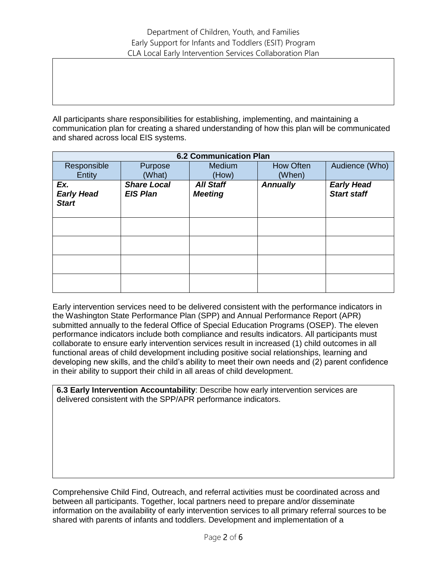All participants share responsibilities for establishing, implementing, and maintaining a communication plan for creating a shared understanding of how this plan will be communicated and shared across local EIS systems.

| <b>6.2 Communication Plan</b>            |                                       |                                    |                 |                                         |  |  |
|------------------------------------------|---------------------------------------|------------------------------------|-----------------|-----------------------------------------|--|--|
| Responsible                              | Purpose                               | <b>Medium</b>                      | How Often       | Audience (Who)                          |  |  |
| Entity                                   | (What)                                | (How)                              | (When)          |                                         |  |  |
| Ex.<br><b>Early Head</b><br><b>Start</b> | <b>Share Local</b><br><b>EIS Plan</b> | <b>All Staff</b><br><b>Meeting</b> | <b>Annually</b> | <b>Early Head</b><br><b>Start staff</b> |  |  |
|                                          |                                       |                                    |                 |                                         |  |  |
|                                          |                                       |                                    |                 |                                         |  |  |
|                                          |                                       |                                    |                 |                                         |  |  |
|                                          |                                       |                                    |                 |                                         |  |  |

Early intervention services need to be delivered consistent with the performance indicators in the Washington State Performance Plan (SPP) and Annual Performance Report (APR) submitted annually to the federal Office of Special Education Programs (OSEP). The eleven performance indicators include both compliance and results indicators. All participants must collaborate to ensure early intervention services result in increased (1) child outcomes in all functional areas of child development including positive social relationships, learning and developing new skills, and the child's ability to meet their own needs and (2) parent confidence in their ability to support their child in all areas of child development.

**6.3 Early Intervention Accountability**: Describe how early intervention services are delivered consistent with the SPP/APR performance indicators.

Comprehensive Child Find, Outreach, and referral activities must be coordinated across and between all participants. Together, local partners need to prepare and/or disseminate information on the availability of early intervention services to all primary referral sources to be shared with parents of infants and toddlers. Development and implementation of a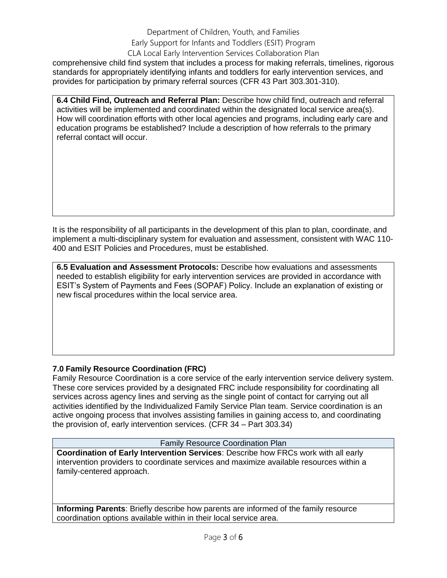# Department of Children, Youth, and Families Early Support for Infants and Toddlers (ESIT) Program

CLA Local Early Intervention Services Collaboration Plan comprehensive child find system that includes a process for making referrals, timelines, rigorous standards for appropriately identifying infants and toddlers for early intervention services, and provides for participation by primary referral sources (CFR 43 Part 303.301-310).

**6.4 Child Find, Outreach and Referral Plan:** Describe how child find, outreach and referral activities will be implemented and coordinated within the designated local service area(s). How will coordination efforts with other local agencies and programs, including early care and education programs be established? Include a description of how referrals to the primary referral contact will occur.

It is the responsibility of all participants in the development of this plan to plan, coordinate, and implement a multi-disciplinary system for evaluation and assessment, consistent with WAC 110- 400 and ESIT Policies and Procedures, must be established.

**6.5 Evaluation and Assessment Protocols:** Describe how evaluations and assessments needed to establish eligibility for early intervention services are provided in accordance with ESIT's System of Payments and Fees (SOPAF) Policy. Include an explanation of existing or new fiscal procedures within the local service area.

# **7.0 Family Resource Coordination (FRC)**

Family Resource Coordination is a core service of the early intervention service delivery system. These core services provided by a designated FRC include responsibility for coordinating all services across agency lines and serving as the single point of contact for carrying out all activities identified by the Individualized Family Service Plan team. Service coordination is an active ongoing process that involves assisting families in gaining access to, and coordinating the provision of, early intervention services. (CFR 34 – Part 303.34)

### Family Resource Coordination Plan

**Coordination of Early Intervention Services**: Describe how FRCs work with all early intervention providers to coordinate services and maximize available resources within a family-centered approach.

**Informing Parents**: Briefly describe how parents are informed of the family resource coordination options available within in their local service area.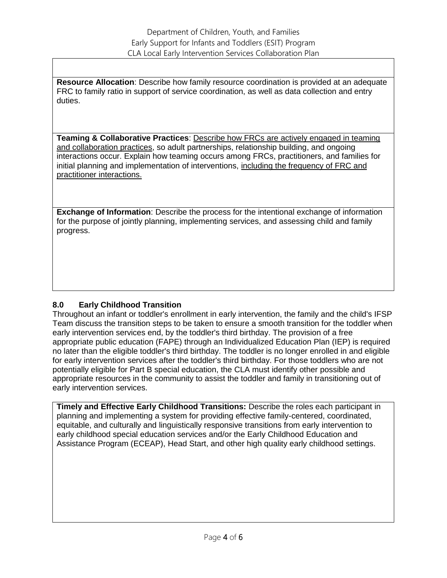**Resource Allocation**: Describe how family resource coordination is provided at an adequate FRC to family ratio in support of service coordination, as well as data collection and entry duties.

**Teaming & Collaborative Practices**: Describe how FRCs are actively engaged in teaming and collaboration practices, so adult partnerships, relationship building, and ongoing interactions occur. Explain how teaming occurs among FRCs, practitioners, and families for initial planning and implementation of interventions, including the frequency of FRC and practitioner interactions.

**Exchange of Information**: Describe the process for the intentional exchange of information for the purpose of jointly planning, implementing services, and assessing child and family progress.

## **8.0 Early Childhood Transition**

Throughout an infant or toddler's enrollment in early intervention, the family and the child's IFSP Team discuss the transition steps to be taken to ensure a smooth transition for the toddler when early intervention services end, by the toddler's third birthday. The provision of a free appropriate public education (FAPE) through an Individualized Education Plan (IEP) is required no later than the eligible toddler's third birthday. The toddler is no longer enrolled in and eligible for early intervention services after the toddler's third birthday. For those toddlers who are not potentially eligible for Part B special education, the CLA must identify other possible and appropriate resources in the community to assist the toddler and family in transitioning out of early intervention services.

**Timely and Effective Early Childhood Transitions:** Describe the roles each participant in planning and implementing a system for providing effective family-centered, coordinated, equitable, and culturally and linguistically responsive transitions from early intervention to early childhood special education services and/or the Early Childhood Education and Assistance Program (ECEAP), Head Start, and other high quality early childhood settings.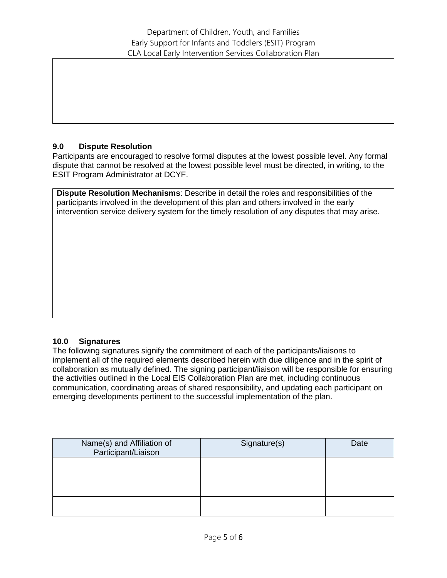## **9.0 Dispute Resolution**

Participants are encouraged to resolve formal disputes at the lowest possible level. Any formal dispute that cannot be resolved at the lowest possible level must be directed, in writing, to the ESIT Program Administrator at DCYF.

**Dispute Resolution Mechanisms**: Describe in detail the roles and responsibilities of the participants involved in the development of this plan and others involved in the early intervention service delivery system for the timely resolution of any disputes that may arise.

## **10.0 Signatures**

The following signatures signify the commitment of each of the participants/liaisons to implement all of the required elements described herein with due diligence and in the spirit of collaboration as mutually defined. The signing participant/liaison will be responsible for ensuring the activities outlined in the Local EIS Collaboration Plan are met, including continuous communication, coordinating areas of shared responsibility, and updating each participant on emerging developments pertinent to the successful implementation of the plan.

| Name(s) and Affiliation of<br>Participant/Liaison | Signature(s) | Date |
|---------------------------------------------------|--------------|------|
|                                                   |              |      |
|                                                   |              |      |
|                                                   |              |      |